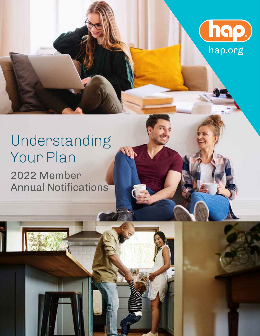

# Understanding Your Plan 2022 Member Annual Notifications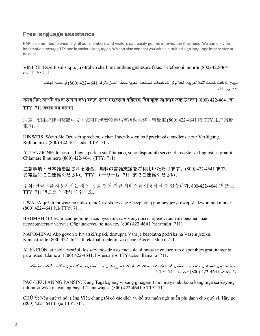### Free language assistance

HAP is committed to ensuring all our members and visitors can easily get the information they need. We can provide information through TTY and in various languages. We can also connect you with a qualified sign language interpreter at no cost.

VINI RE: Nëse flisni shqip, ju ofrohen shërbime ndihme gjuhësore falas. Telefononi numrin (800) 422-4641 ose TTY: 711.

تنبيه: إذا كنت تتحدث اللغة العربية، فإننا نوفر لك خدمات المساعدة اللغوية مجانًا. اتصل بالر قم 4611-422 (800) أو خدمة الهاتف النصي: 711.

নজর দিন: আপনি বাংলা ভাষায় কথা বললে, ভাষা সহায়তার পরিষেবা বিনামূল্যে আপনার জন্য উপলব্ধ। (800) 422-4641 বা  $TTY: 711$  নম্বরে কল করুন।

注意:如果您使用繁體中文,您可以免費獲得語言援助服務。請致電 (800) 422-4641 或 TTY 用户請致 電711。

HINWEIS: Wenn Sie Deutsch sprechen, stehen Ihnen kostenlos Sprachassistenzdienste zur Verfügung. Rufnummer: (800) 422-4641 oder TTY: 711.

ATTENZIONE: In caso la lingua parlata sia l'italiano, sono disponibili servizi di assistenza linguistica gratuiti. Chiamare il numero (800) 422-4641 (TTY: 711).

注意事項:日本語を話される場合、無料の言語支援をご利用いただけます。(800) 422-4641 まで、 お電話にてご連絡ください。TTY ユーザーは 711 までご連絡ください。

주의: 한국어를 사용하시는 경우, 무료 언어 지원 서비스를 이용하실 수 있습니다. 800-422-4641 번 또는 TTY: 711 번으로 연락해 주십시오.

UWAGA: jeżeli mówisz po polsku, możesz skorzystać z bezpłatnej pomocy językowej. Zadzwoń pod numer (800) 422-4641 lub TTY: 711.

ВНИМАНИЕ! Если ваш родной язык русский, вам могут быть предоставлены бесплатные переводческие услуги. Обращайтесь по номеру (800) 422-4641 (телетайп: 711).

NAPOMENA: Ako govorite hrvatski/srpski, dostupna Vam je besplatna podrška na Vašem jeziku. Kontaktirajte (800) 422-4641 ili tekstualni telefon za osobe oštećena sluha: 711.

ATENCIÓN: si habla español, los servicios de asistencia de idiomas se encuentran disponibles gratuitamente para usted. Llame al (800) 422-4641, los usuarios TTY deben llamar al 711.

ת کمّی منظل میکنگریم می افرادی میکناسیم و علی جنه ۱۰ می افراد می استفران می است است می میکن می است که است است خلا محتفکہ 4641-422 (800) مختصر 711 : TTY:

PAG-UKULAN NG PANSIN: Kung Tagalog ang wikang ginagamit mo, may makukuha kang mga serbisyong tulong sa wika na walang bayad. Tumawag sa (800) 422-4641 o TTY: 711.

CHÚ Ý: Nếu quý vị nói tiếng Việt, chúng tôi có các dịch vụ hỗ trợ ngôn ngữ miễn phí dành cho quý vị. Hãy gọi (800) 422-4641 hoặc TTY: 711.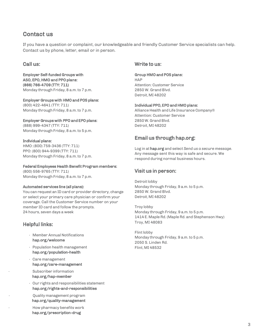### Contact us

If you have a question or complaint, our knowledgeable and friendly Customer Service specialists can help. Contact us by phone, letter, email or in person.

Employer Self-funded Groups with Group HMO and POS plans: ASO, EPO, HMO and PPO plans: HAP (866) 766-4709 (TTY: 711) Attention: Customer Service Monday through Friday, 8 a.m.to 7 p.m. 2850 W. Grand Blvd.

Employer Groups with HMO and POS plans: (800) 422-4641 (TTY: 711) Individual PPO, EPO and HMO plans:

Employer Groups with PPO and EPO plans: 2850 W. Grand Blvd. (888) 999-4347 (TTY: 711) Detroit, MI 48202 Monday through Friday, 8 a.m.to 5 p.m.

#### Federal Employees Health Benefit Program members:

(800) 556-9765 (TTY: 711) Visit us in person: Monday through Friday, 8 a.m.to 7 p.m.

You can request an ID card or provider directory, change 2850 W. Grand Blvd. or select your primary care physician or confirm your Detroit, MI 48202 coverage. Call the Customer Service number on your member ID card and follow the prompts. Troy lobby 24 hours, seven days a week Monday through Friday, 9 a.m.to 5 p.m.

### Helpful links: Troy, MI 48083

- 
- Population health management Flint, MI 48532 hap.org/population-health
- Care management hap.org/care-management Subscriber information

hap.org/hap-member

• Our rights and responsibilities statement hap.org/rights-and-responsibilities

• Quality management program hap.org/quality-management

• How pharmacy benefits work hap.org/prescription-drug

### Call us: Write to us:

Detroit, MI 48202

Monday through Friday, 8 a.m. to 7 p.m. Alliance Health and Life Insurance Company® Attention: Customer Service

## Email us through hap.org: Individual plans:

HMO: (800) 759-3436 (TTY: 711) Log in at **hap.org** and select *Send us a secure message.*<br>PPO: (800) 944-9399 (TTY: 711) Any message sent this way is safe and secure. We<br>Monday through Friday, 8 a.m. to 7 p.m. https://www.

Detroit lobby Automated services line (all plans): Monday through Friday, 9 a.m. to 5 p.m.

1414E.Maple Rd. (Maple Rd. and Stephenson Hwy)

• Member Annual Notifications Flint lobby<br> **hap.org/welcome** Monday through Friday, 9 a.m. to 5 p.m.<br>
2050 S. Linden Rd.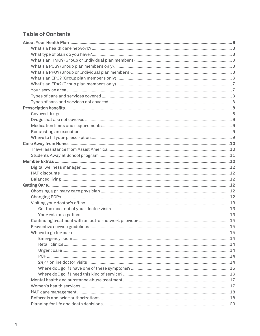## **Table of Contents**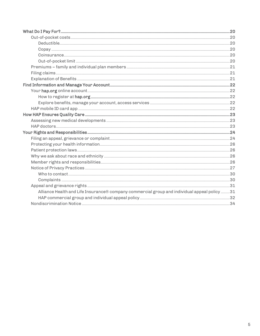| Alliance Health and Life Insurance® company commercial group and individual appeal policy 31 |  |
|----------------------------------------------------------------------------------------------|--|
|                                                                                              |  |
|                                                                                              |  |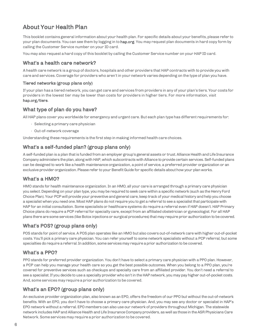## <span id="page-5-0"></span>About Your Health Plan

This booklet contains general information about your health plan. For specific details about your benefits, please refer to your plan documents. You can see them by logging in to hap.org. You may request plan documents in hard copy form by calling the Customer Service number on your ID card.

You may also request a hard copy of this booklet by calling the Customer Service number on your HAP ID card.

### <span id="page-5-1"></span>What's a health care network?

A health care network is a group of doctors, hospitals and other providers that HAP contracts with to provide you with care and services.Coverage for providers who aren't in your network varies depending on the type of plan you have.

### Tiered networks (group plans only)

If your plan has a tiered network, you can get care and services from providers in any of your plan's tiers. Your costs for providers in the lowest tier may be lower than costs for providers in higher tiers. For more information, visit hap.org/tiers.

### <span id="page-5-2"></span>What type of plan do you have?

All HAP plans cover you worldwide for emergency andurgent care. But each plan type has different requirements for:

- Selecting a primary care physician
- Out-of-network coverage

Understanding these requirements is the first step in making informed health care choices.

### What's a self-funded plan? (group plans only)

A self-funded plan is a plan that is funded from an employer group's general assets or trust. Alliance Health and Life Insurance Company administers the plan, along with HAP, which subcontracts with Alliance to provide certain services. Self-funded plans can be designed to work like a health maintenance organization, a point of service, a preferred provider organization or an exclusive provider organization. Please refer to your Benefit Guide for specific details about how your plan works.

### What's a HMO?

HMO stands for health maintenance organization. In an HMO, all your care is arranged through a primary care physician you select. Depending on your plan type, you may be required to seek care within a specific network (such as the Henry Ford Choice Plan). Your PCP will provide your preventive and general care, keep track of your medical history and help you choose a specialist when you need one. Most HAP plans do not require you to get a referral to see a specialist that participate with HAP for an initial consultation. Some specialists or healthcare systems do require a referral even if HAP doesn't. HAP Primary Choice plans do require a PCP referral for specialty care, except from an affiliated obstetrician or gynecologist. For all HAP plans there are some services (like Botox injections or surgical procedures) that may require prior authorization to be covered.

### What's POS? (group plans only)

POS stands for point of service. A POS plan operates like an HMO but also covers out-of-network care with higher out-of-pocket costs. You'll pick a primary care physician. You can refer yourself to some network specialists without a PCP referral, but some specialties do require a referral. In addition, some services may require a prior authorization to be covered.

### What's a PPO?

PPO stands for preferred provider organization. You don't have to select a primary care physician with a PPO plan. However, a PCP can help you manage your health care so you get the best possible outcomes. When you belong to a PPO plan, you're covered for preventive services such as checkups and specialty care from an affiliated provider. You don't need a referral to see a specialist. If you decide to use a specialty provider who isn't in the HAP network, you may pay higher out-of-pocket costs. And, some services may require a prior authorization to be covered.

### What's an EPO? (group plans only)

An exclusive provider organization plan, also known as an EPO, offers the freedom of our PPO but without the out-of-network benefits. With an EPO, you don't have to choose a primary care physician. And, you may see any doctor or specialist in HAP's EPO network without a referral. EPO members can also use our network of providers throughout Michigan. The statewide network includes HAP and Alliance Health and Life Insurance Company providers, as well as those in the ASR Physicians Care Network. Some services may require a prior authorization to be covered.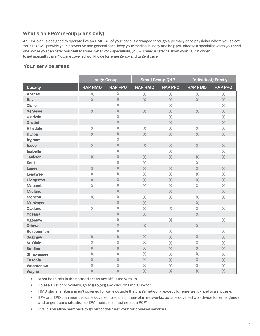### What's an EPA? (group plans only)

An EPA plan is designed to operate like an HMO. All of your care is arranged through a primary care physician whom you select. Your PCP will provide your preventive and general care, keep your medical history and help you choose a specialist when you need one. While you can refer yourself to some in-network specialists, you will need a referral from your PCP in order to get specialty care. You are covered worldwide for emergency and urgent care.

### Your service areas

|                   | Large Group             |                         | <b>Small Group QHP</b>  |                           | Individual/Family         |                         |
|-------------------|-------------------------|-------------------------|-------------------------|---------------------------|---------------------------|-------------------------|
| County            | <b>HAP HMO</b>          | <b>HAP PPO</b>          | <b>HAP HMO</b>          | <b>HAP PPO</b>            | <b>HAP HMO</b>            | <b>HAP PPO</b>          |
| Arenac            | $\mathsf{X}$            | $\overline{\mathsf{X}}$ | $\mathsf{X}$            | $\mathsf{X}$              | $\boldsymbol{\mathsf{X}}$ | $\mathsf{X}$            |
| <b>Bay</b>        | $\overline{\mathsf{X}}$ | X                       | $\overline{X}$          | $\overline{\mathsf{X}}$   | $\overline{X}$            | $\overline{\mathsf{X}}$ |
| Clare             |                         | X                       |                         | X                         |                           | X                       |
| Genesee           | $\mathsf{X}$            | $\overline{\mathsf{X}}$ | $\overline{\mathsf{X}}$ | $\overline{\mathsf{X}}$   | $\overline{\mathsf{X}}$   | $\overline{\mathsf{X}}$ |
| Gladwin           |                         | $\overline{\mathsf{X}}$ |                         | X                         |                           | X                       |
| Gratiot           |                         | $\overline{X}$          |                         | $\mathsf X$               |                           | $\overline{\mathsf{X}}$ |
| <b>Hillsdale</b>  | X                       | $\overline{\mathsf{X}}$ | X                       | $\mathsf{X}$              | X                         | $\mathsf{X}$            |
| Huron             | $\overline{\mathsf{X}}$ | $\mathsf{X}$            | $\overline{\mathsf{X}}$ | $\overline{\mathsf{X}}$   | $\overline{\mathsf{X}}$   | $\overline{\mathsf{X}}$ |
| Ingham            |                         | X                       |                         |                           |                           |                         |
| <b>Iosco</b>      | $\mathsf{X}$            | X                       | $\overline{\mathsf{X}}$ | $\overline{\mathsf{X}}$   | $\mathsf{X}$              | $\overline{\mathsf{X}}$ |
| <b>Isabella</b>   |                         | $\mathsf{X}$            |                         | $\mathsf X$               |                           | $\mathsf{X}$            |
| <b>Jackson</b>    | $\mathsf X$             | X                       | $\mathsf{X}$            | $\mathsf X$               | $\mathsf{X}$              | X                       |
| Kent              |                         | $\mathsf{X}$            | X                       |                           | X                         |                         |
| Lapeer            | X                       | $\overline{\mathsf{X}}$ | $\overline{\mathsf{X}}$ | $\overline{\mathsf{X}}$   | $\overline{\mathsf{X}}$   | $\overline{\mathsf{X}}$ |
| Lenawee           | X                       | $\overline{\mathsf{X}}$ | $\overline{\mathsf{X}}$ | $\overline{\mathsf{X}}$   | X                         | X                       |
| Livingston        | $\overline{\mathsf{X}}$ | $\overline{\mathsf{X}}$ | X                       | $\overline{\mathsf{X}}$   | $\overline{\mathsf{X}}$   | $\overline{\mathsf{X}}$ |
| Macomb            | X                       | $\overline{X}$          | $\mathsf{X}$            | $\mathsf{X}$              | $\mathsf{X}$              | X                       |
| <b>Midland</b>    |                         | $\overline{\mathsf{X}}$ |                         | $\overline{\mathsf{X}}$   |                           | $\mathsf{X}$            |
| Monroe            | $\overline{\mathsf{X}}$ | $\overline{\mathsf{X}}$ | $\overline{\mathsf{X}}$ | $\mathsf X$               | $\overline{\mathsf{X}}$   | X                       |
| <b>Muskegon</b>   |                         | $\overline{\mathsf{X}}$ | $\overline{\mathsf{X}}$ |                           | $\overline{\mathsf{X}}$   |                         |
| <b>Oakland</b>    | $\overline{\mathsf{X}}$ | X                       | $\mathsf{X}$            | $\mathsf{X}$              | $\mathsf{X}$              | $\mathsf{X}$            |
| Oceana            |                         | $\overline{\mathsf{X}}$ | $\overline{\mathsf{X}}$ |                           | $\overline{\mathsf{X}}$   |                         |
| Ogemaw            |                         | X                       |                         | $\boldsymbol{\mathsf{X}}$ |                           | $\mathsf X$             |
| <b>Ottawa</b>     |                         | X                       | $\overline{\mathsf{X}}$ |                           | $\mathsf{X}$              |                         |
| Roscommon         |                         | X                       |                         | $\bar{\mathsf{X}}$        |                           | X                       |
| Saginaw           | X                       | X                       | $\overline{\mathsf{X}}$ | $\overline{\mathsf{X}}$   | $\overline{\mathsf{X}}$   | $\overline{\mathsf{X}}$ |
| St. Clair         | X                       | $\overline{\mathsf{X}}$ | X                       | $\mathsf{X}$              | $\overline{\mathsf{X}}$   | $\overline{\mathsf{X}}$ |
| Sanilac           | $\mathsf{X}$            | $\overline{\mathsf{X}}$ | X                       | X                         | $\overline{\mathsf{X}}$   | X                       |
| <b>Shiawassee</b> | X                       | $\overline{\mathsf{X}}$ | $\overline{\mathsf{X}}$ | X                         | $\mathsf{X}$              | $\overline{\mathsf{X}}$ |
| <b>Tuscola</b>    | $\overline{\mathsf{X}}$ | $\overline{\mathsf{X}}$ | $\mathsf{X}$            | $\overline{\mathsf{X}}$   | $\mathsf{X}$              | X                       |
| Washtenaw         | X                       | X                       | X                       | X                         | X                         | X                       |
| Wayne             | $\overline{\mathsf{X}}$ | $\overline{\mathsf{X}}$ | $\overline{\mathsf{X}}$ | $\overline{\mathsf{X}}$   | $\overline{\mathsf{X}}$   | X                       |

• Most hospitals in the notated areas are affiliated with us.

• To see a list of providers, go to hap.org and click on Find a Doctor.

• HMO plan members aren't covered for care outside the plan's network, except for emergency andurgent care.

• EPA and EPO plan members are covered for care in their plan networks, but are covered worldwide for emergency and urgent care situations. (EPA members must select a PCP)

• PPO plans allow members to go out of their network for covered services.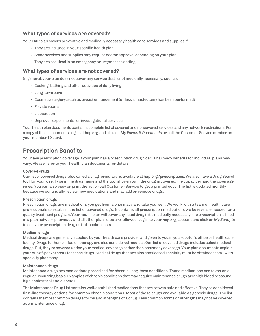### What types of services are covered?

Your HAP plan covers preventive and medicallynecessaryhealth care services and supplies if:

- $\cdot$  They are included in your specific health plan.
- Some services and supplies may require doctor approval depending on your plan.
- They are required in an emergency or urgent care setting.

### What types of services are not covered?

In general, your plan does not cover any service that is not medically necessary, such as:

- Cooking, bathing and other activities of daily living
- Long-term care
- Cosmetic surgery, such as breast enhancement(unless a mastectomyhas been performed)
- Private rooms
- Liposuction
- Unproven experimental or investigational services

Your health plan documents contain a complete list of covered and noncovered services and any network restrictions. For a copy of these documents, log in at hap.org and click on *My Forms & Documents* or call the Customer Service number on your member ID card.

### <span id="page-7-0"></span>Prescription Benefits

You have prescription coverage if your plan has a prescription drug rider. Pharmacy benefits for individual plans may vary. Please refer to your health plan documents for details.

#### <span id="page-7-1"></span>Covered drugs

Our list of covered drugs, also called a drug formulary, is available at hap.org/prescriptions. We also have a Drug Search tool for your use. Type in the drug name and the tool shows you if the drug is covered, the copay tier and the coverage rules. You can also view or print the list or call Customer Service to get a printed copy. The list is updated monthly because we continually review new medications and may add or remove drugs.

#### Prescription drugs

Prescription drugs are medications you get from a pharmacy and take yourself. We work with a team of health care professionals to establish the list of covered drugs. It contains all prescription medications we believe are needed for a quality treatment program. Your health plan will cover any listed drug if it's medically necessary, the prescription is filled at a plan network pharmacy and all other plan rules are followed. Log in to your hap.org account and click on *MyBenefits* to see your prescription drug out-of-pocket costs.

#### Medical drugs

Medical drugs are generally supplied by your health care provider and given to you in your doctor's office or health care facility.Drugs for home infusion therapy are also considered medical. Our list of covered drugs includes select medical drugs. But, they're covered under your medical coverage rather than pharmacy coverage. Your plan documents explain your out-of-pocket costs for these drugs.Medical drugs that are also considered specialty must be obtained from HAP's specialty pharmacy.

#### Maintenance drugs

Maintenance drugs are medications prescribed for chronic, long-term conditions. These medications are taken on a regular, recurring basis. Examples of chronic conditions that may require maintenance drugs are: high blood pressure, high cholesterol and diabetes.

The Maintenance Drug List contains well-established medications that are proven safe and effective. They're considered first-line therapy options for common chronic conditions. Most of these drugs are available as generic drugs. The list contains the most common dosage forms and strengths of a drug. Less common forms or strengths may not be covered as a maintenance drug.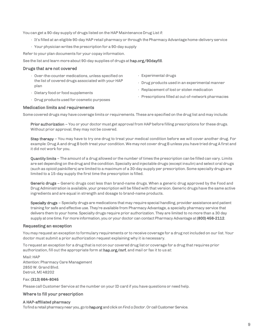You can get a 90-day supply of drugs listed on the HAP Maintenance Drug List if:

- It's filled at an eligible 90-dayHAP retail pharmacy or through thePharmacy Advantage home-delivery service
- Your physician writes the prescription for a 90-day supply

Refer to your plan documents for your copay information.

See the list and learn more about 90-day supplies of drugs at hap.org/90dayfill.

#### <span id="page-8-0"></span>Drugs that are not covered

- Over-the-counter medications, unless specified on the list of covered drugs associated with your HAP plan
- Dietary food or food supplements
- Replacement of lost or stolen medication

• Experimental drugs

• Drug products used in an experimental manner

• Prescriptions filled at out-of-network pharmacies

- 
- Drug productsused for cosmetic purposes

### <span id="page-8-1"></span>Medication limits and requirements

Some covered drugs may have coverage limits or requirements. These are specified on the drug list and may include:

Prior authorization – You or your doctor must get approval from HAP before filling prescriptions for these drugs. Without prior approval, they may not be covered.

Step therapy – You may have to try one drug to treat your medical condition before we will cover another drug. For example: Drug A and drug B both treat your condition. We may not cover drug B unless you have tried drug A first and it did not work for you.

Quantity limits – The amount of a drug allowed or the number of times the prescription can be filled can vary. Limits are set depending on the drug and the condition.Specialty and injectable drugs (except insulin) and select oral drugs (such as opioid painkillers) are limited to a maximum of a 30-day supply per prescription. Some specialty drugs are limited to a 15-day supply the first time the prescription is filled.

Generic drugs – Generic drugs cost less than brand-name drugs. When a generic drug approved by the Food and Drug Administration is available, your prescription will be filled with that version.Generic drugs have the same active ingredients and are equal in strength and dosage to brand-name products.

Specialty drugs – Specialty drugs are medications that may require special handling, provider assistance and patient training for safe and effective use. They're available from Pharmacy Advantage, a specialty pharmacy service that delivers them to your home. Specialty drugs require prior authorization. They are limited to no more than a 30 day supply at one time. For more information, you or your doctor can contact Pharmacy Advantage at (800) 456-2112.

### <span id="page-8-2"></span>Requesting an exception

You may request an exception to formulary requirements or to receive coverage for a drug not included on our list. Your doctor must submit a prior authorization request explaining why it is necessary.

To request an exception for a drug thatis not on our covered drug list or coverage for a drug that requires prior authorization, fill out the appropriate form at hap.org/mrf, and mail or fax it to us at:

Mail: HAP Attention:Pharmacy Care Management 2850 W. Grand Blvd. Detroit, MI 48202

### Fax: (313) 664-8045

Please call Customer Service at the number on your ID card if you have questions or need help.

### <span id="page-8-3"></span>Where to fill your prescription

#### A HAP-affiliated pharmacy

To find a retail pharmacy near you, go to hap.org and click on Find a Doctor. Or call Customer Service.

9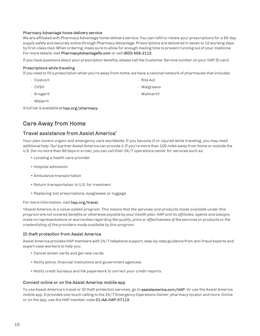#### Pharmacy Advantage home-delivery service

We are affiliated with Pharmacy Advantage home-delivery service. You can refill or renew your prescriptions for a 90-day supply safely and securely online through Pharmacy Advantage. Prescriptions are delivered in seven to 10 working days by first-class mail. When ordering, make sure to allow for enough mailing time to prevent running out of your medicine. For more details, visit PharmacyAdvantageRx.com or call (800) 456-2112.

If you have questions about your prescription benefits, please call the Customer Service number on your HAP ID card.

#### Prescriptions while traveling

If you need to fill a prescription when you're away from home, we have a national network of pharmacies that includes:

- Costco®
- CVS®
- Kroger®

• Walgreens • Walmart®

• Rite Aid

• Meijer®

A full list is available at hap.org/pharmacy.

### <span id="page-9-0"></span>Care Away from Home

### <span id="page-9-1"></span>Travel assistance from Assist America\*

Your plan covers urgent and emergency care worldwide. If you become ill or injured while traveling, you may need additional help. Our partner Assist America can provide it. If you're more than 100 miles away from home or outside the U.S. (for no more than 90 days in a row), you can call their 24/7 operations center for services such as:

- Locating a health care provider
- Hospital admission
- Ambulance transportation
- Return transportation to U.S. for treatment
- Replacing lost prescriptions, eyeglasses or luggage

#### For more information, visit hap.org/travel.

*\*Assist America is a value-added program. This means that the services and products made available under this* program are not covered benefits or otherwise payable by your health plan. HAP and its affiliates, agents and assigns make no representations or warranties regarding the quality, price or effectiveness of the services or products or the *credentialing of the providers made available by this program.*

#### ID theft protection from Assist America

AssistAmerica providesHAP members with 24/7 telephone support, step-by-step guidance from anti-fraud experts and expert case workers to help you:

- Cancel stolen cards and get new cards.
- Notify police, financial institutions and government agencies.
- Notify credit bureaus and file paperwork to correct your credit reports.

#### Connect online or on the Assist America mobile app

To use Assist America's travel or ID theft protection services, go to assistamerica.com/HAP. Or use the Assist America mobile app. It provides one-touch calling to the 24/7 Emergency Operations Center, pharmacy locator and more. Online or on the app, use the HAP member code 01-AA-HAP-07113.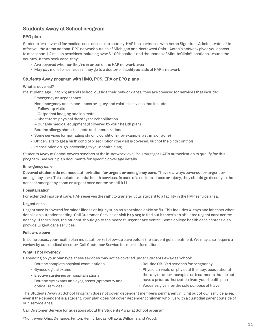### <span id="page-10-0"></span>Students Away at School program

### PPO plan

Students are covered for medical care across the country. HAP has partnered with Aetna Signature Administrators® to offer you theAetna national PPO network outside of Michigan and Northwest Ohio\*.Aetna's network gives you access to more than 1.4 million providers including over 6,100 hospitals and thousands of MinuteClinic® locations around the country. If they seek care, they:

- Are covered whether they're in or out of the HAP network area
- May pay more for services if they go to a doctor or facility outside of HAP's network

### Students Away program with HMO, POS, EPA or EPO plans

### What is covered?

If a student (age 17 to 25) attends school outside their network area, they are covered for services that include:

- Emergency or urgent care
- Nonemergency and minor illness or injury and related services thatinclude:
- Follow-up visits
- Outpatient imaging and lab tests
- Short-term physical therapy for rehabilitation
- Durable medical equipment (if covered by your health plan)
- $\cdot$  Routine allergy shots, flu shots and immunizations
- Some services for managing chronic conditions (for example, asthma or acne)
- $\cdot$  Office visits to get a birth control prescription (the visit is covered, but not the birth control)
- Prescription drugs (according to your health plan)

Students Away at School covers services at the in-network level. You must get HAP's authorization to qualify for this program. See your plan documents for specific coverage details.

#### Emergency care

Covered students do not need authorization for urgent or emergency care. They're always covered for urgent or emergency care. This includes mental health services. In case of a serious illness or injury, they should go directly to the nearest emergency room or urgent care center or call 911.

#### Hospitalization

For extended inpatient care, HAP reserves the right to transfer your student to a facility in the HAP service area.

#### Urgent care

Urgent care is covered for minor illness or injury such as a sprained ankle or flu. This includes X-rays and lab tests when done in an outpatient setting. Call Customer Service or visit hap.org to find out if there's an affiliated urgent care center nearby. If there isn't, the student should go to the nearest urgent care center. Some college health care centers also provide urgent care services.

#### Follow-up care

In some cases, your health plan must authorize follow-up care before the student gets treatment. We may also require a review by our medical director. Call Customer Service for more information.

#### What is not covered?

Depending on your plan type, these services may not be coveredunder Students Away at School:

- Routine complete physical examinations
- Gynecological exams
- Elective surgeries or hospitalizations
- Routine eye exams and eyeglasses (optometry and optical services)
- Routine OB-GYN services for pregnancy
- Physician visits or physical therapy, occupational therapy or other therapies or treatments that do not have a prior authorization from your health plan
- Vaccines given for the sole purpose of travel

The Students Away at School Program does not cover dependent members permanently living out of our service area, even if the dependentis a student. Your plan does not cover dependent children who live with a custodial parent outside of our service area.

Call Customer Service for questions about the StudentsAway at School program.

\*Northwest Ohio:Defiance, Fulton, Henry, Lucas, Ottawa, Williams and Wood.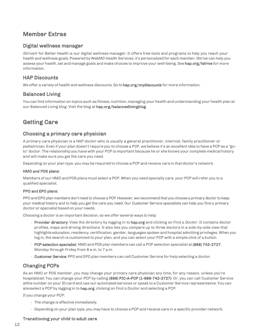### <span id="page-11-0"></span>Member Extras

### <span id="page-11-1"></span>Digital wellness manager

iStrive® for Better Health is our digital wellness manager. It offers free tools and programs to help you reach your health and wellness goals. Powered byWebMD Health Services, it's personalized for each member. iStrive can help you assess your health, set and manage goals and make choices to improve your well-being. See hap.org/istrive for more information.

### <span id="page-11-2"></span>HAP Discounts

<span id="page-11-3"></span>We offer a variety of health and wellness discounts. Go to hap.org/mydiscounts for more information.

### Balanced Living

You can find information on topics such as fitness, nutrition, managing your health andunderstanding your health plan at our Balanced Living blog. Visit the blog at hap.org/balancedlivingblog.

### <span id="page-11-4"></span>Getting Care

### <span id="page-11-5"></span>Choosing a primary care physician

A primary care physician is a HAP doctor who is usually a general practitioner, internist, family practitioner or pediatrician. Even if your plan doesn't require you to choose a PCP, we believe it's an excellentidea to have a PCP as a "goto" doctor. The relationship you have with your PCP is important because he or she knows your complete medical history and will make sure you get the care you need.

Depending on your plan type, you may be required to choose a PCP and receive care in that doctor's network.

### HMO and POS plans:

Members of our HMO and POS plans must select a PCP. When you need specialty care, your PCP will refer you to a qualified specialist.

### PPO and EPO plans:

PPO and EPO plan members don't need to choose a PCP. However, we recommend that you choose a primary doctor to keep your medical history and to help you get the care you need. Our Customer Service specialists can help you find a primary doctor or specialist based on your needs.

Choosing a doctor is an important decision, so we offer several ways to help:

- Provider directory: View the directory by logging in to hap.org and clicking on *Find a Doctor*. It contains doctor profiles, maps and driving directions. It also lets you compare up to three doctors in a side-by-side view that highlights education, residency, certification, gender, languages spoken and hospital admitting privileges. When you log in, the search is customized to your plan, and you can select your PCP with a simple click of a button.
- PCP selection specialist: HMO and POS plan members can call a PCP selection specialist at (888) 742-2727, Monday through Friday from 8 a.m. to 7 p.m.
- Customer Service: PPO and EPO plan members can callCustomer Service for help selecting a doctor.

### <span id="page-11-6"></span>Changing PCPs

As an HMO or POS member, you may change your primary care physician any time, for any reason, unless you're hospitalized. You can change your PCP by calling (888) PIC-A-PCP (1-888-742-2727). Or, you can call Customer Service atthe number on your IDcard and use our automated services or speak to a Customer Service representative. You can alsoselect a PCP by logging in to hap.org, clicking on *Find a Doctor* and selecting a PCP.

If you change your PCP:

- The change is effective immediately.
- Depending on your plan type, you mayhave to choose a PCP and receive care in a specific provider network.

### Transitioning your child to adult care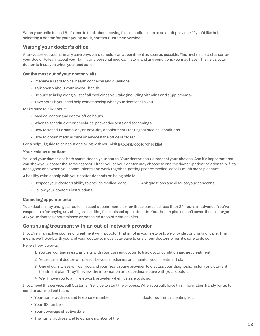When your child turns 18, it's time to think about moving from a pediatrician to an adult provider. If you'd like help selecting a doctor for your young adult, contact Customer Service.

### <span id="page-12-0"></span>Visiting your doctor's office

After you select your primary care physician, schedule an appointment as soon as possible. This first visitis a chance for your doctor to learn about your family and personal medical history and any conditions you may have. This helps your doctor to treat you when you need care.

### <span id="page-12-1"></span>Get the most out of your doctor visits

- Prepare a list of topics, health concerns and questions.
- Talk openly about your overall health.
- Be sure to bring along a list of all medicines you take (including vitamins and supplements).
- Take notes if you need help remembering what your doctor tells you.

Make sure to ask about:

- Medical center and doctor office hours
- When to schedule other checkups, preventive tests and screenings
- How to schedule same-day or next-day appointments for urgent medical conditions
- How to obtain medical care or advice if the office is closed

For a helpful guide to print out and bring with you, visit hap.org/doctorchecklist.

### <span id="page-12-2"></span>Your role as a patient

You and your doctor are both committed to your health. Your doctor should respect your choices. And it's important that you show your doctor the same respect. Either you or your doctor may choose to end the doctor-patient relationship ifit's not a good one. When you communicate and work together, getting proper medical care is much more pleasant.

A healthy relationship with your doctor depends on being able to:

- Respect your doctor's ability to provide medical care. • Ask questions and discuss your concerns.
- Follow your doctor's instructions.

### Canceling appointments

Your doctor may charge a fee for missed appointments or for those canceled less than 24 hours in advance. You're responsible for paying any charges resulting from missed appointments. Your health plan doesn't cover these charges. Ask your doctors about missed or canceled appointment policies.

### <span id="page-12-3"></span>Continuing treatment with an out-of-network provider

If you're in an active course of treatment with a doctor that is not in your network, we provide continuity of care. This means we'll work with you and your doctor to move your care to one of our doctors when it's safe to do so.

Here's how it works:

- 1. You can continue regular visits with your current doctor to track your condition and get treatment.
- 2. Your current doctor will prescribe your medicines and monitor your treatment plan.
- 3. One of our nurses will call you and your health care provider to discuss your diagnosis, history and current treatment plan. They'll review the information and coordinate care with your doctor.
- 4. We'll move you to an in-network provider when it's safe to do so.

If you need this service, call Customer Service to start the process. When you call, have this information handy for us to send to our medical team:

• Your name, address and telephone number

doctor currently treating you

- Your IDnumber
- Your coverage effective date
- The name, address and telephone number of the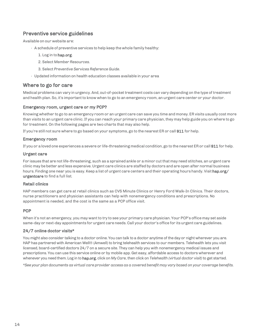### <span id="page-13-0"></span>Preventive service guidelines

Available on our website are:

- $\cdot$  A schedule of preventive services to help keep the whole family healthy:
	- 1. Log in to hap.org.
	- 2. Select *Member Resources*.
	- 3. Select *Preventive Services Reference Guide*.
- Updated information on health education classes available in your area

### <span id="page-13-1"></span>Where to go for care

Medical problems can vary in urgency. And, out-of-pocket treatment costs can vary depending on the type of treatment and health plan.So, it's important to know when to go to an emergency room, an urgent care center or your doctor.

### Emergency room, urgent care or my PCP?

Knowing whether to go to an emergency room or an urgent care can save you time and money. ER visitsusually cost more than visits to an urgent care clinic.If you can reach your primary care physician, they mayhelp guide you on where to go for treatment. On the following pages are two charts that may also help.

If you're still not sure where to go based on your symptoms, go to the nearest ER or call 911 for help.

### <span id="page-13-2"></span>Emergency room

If you or a loved one experiences a severe or life-threatening medical condition, go to the nearest ER or call 911 for help.

### Urgent care

For issues that are not life-threatening, such as a sprained ankle or a minor cut that may need stitches, an urgent care clinic may be better and less expensive.Urgent care clinics are staffed by doctors and are open after normal business hours. Finding one near you is easy. Keep a list of urgent care centers and their operating hours handy. Visit hap.org/ urgentcare to find a full list.

### <span id="page-13-3"></span>Retail clinics

HAP members can get care at retail clinics such as CVS Minute Clinics or Henry Ford Walk-In Clinics. Their doctors, nurse practitioners and physician assistants can help with nonemergency conditions and prescriptions. No appointment is needed, and the cost is the same as a PCP office visit.

### <span id="page-13-4"></span>**PCP**

When it's not an emergency, you may want to try to see your primary care physician. Your PCP's office may set aside same-day or next-day appointments for urgent care needs.Call your doctor's office for itsurgent care guidelines.

### <span id="page-13-5"></span>24/7 online doctor visits\*

You might also consider talking to a doctor online. You can talk to a doctor anytime of the day or night wherever you are. HAP has partnered with American Well® (Amwell) to bring telehealth services to our members. Telehealth lets you visit licensed, board-certified doctors 24/7 on a secure site. They can help you with nonemergency medical issues and prescriptions. You can use this service online or by mobile app. Get easy, affordable access to doctors wherever and whenever you need them. Log in to hap.org, click on *MyCare*, then click on *Telehealth (virtual doctor visit)* to get started.

\*See your plan documents as virtual care provider access as a covered benefit may vary based on your coverage benefits.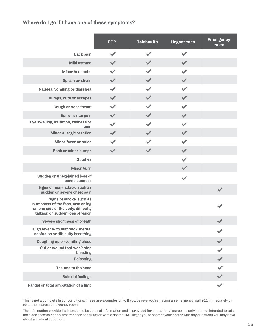### <span id="page-14-0"></span>Where do I go if I have one of these symptoms?

|                                                                                                                                          | <b>PCP</b>           | <b>Telehealth</b>     | <b>Urgent care</b>   | <b>Emergency</b><br>room |
|------------------------------------------------------------------------------------------------------------------------------------------|----------------------|-----------------------|----------------------|--------------------------|
| <b>Back pain</b>                                                                                                                         | $\blacktriangledown$ | $\blacktriangleright$ |                      |                          |
| Mild asthma                                                                                                                              | $\blacktriangledown$ | $\blacktriangledown$  |                      |                          |
| Minor headache                                                                                                                           | $\blacktriangledown$ |                       |                      |                          |
| Sprain or strain                                                                                                                         | $\blacktriangledown$ | $\blacktriangleright$ |                      |                          |
| Nausea, vomiting or diarrhea                                                                                                             |                      |                       |                      |                          |
| <b>Bumps, cuts or scrapes</b>                                                                                                            | $\blacktriangledown$ |                       |                      |                          |
| Cough or sore throat                                                                                                                     | $\blacktriangledown$ |                       |                      |                          |
| Ear or sinus pain                                                                                                                        | $\blacktriangledown$ |                       |                      |                          |
| Eye swelling, irritation, redness or<br>pain                                                                                             | $\blacktriangledown$ |                       |                      |                          |
| Minor allergic reaction                                                                                                                  | $\checkmark$         |                       |                      |                          |
| Minor fever or colds                                                                                                                     |                      |                       |                      |                          |
| Rash or minor bumps                                                                                                                      | $\blacktriangledown$ | $\blacktriangledown$  |                      |                          |
| <b>Stitches</b>                                                                                                                          |                      |                       |                      |                          |
| Minor burn                                                                                                                               |                      |                       |                      |                          |
| Sudden or unexplained loss of<br>consciousness                                                                                           |                      |                       | $\blacktriangledown$ |                          |
| Signs of heart attack, such as<br>sudden or severe chest pain                                                                            |                      |                       |                      |                          |
| Signs of stroke, such as<br>numbness of the face, arm or leg<br>on one side of the body; difficulty<br>talking; or sudden loss of vision |                      |                       |                      |                          |
| Severe shortness of breath                                                                                                               |                      |                       |                      |                          |
| High fever with stiff neck, mental<br>confusion or difficulty breathing                                                                  |                      |                       |                      |                          |
| Coughing up or vomiting blood                                                                                                            |                      |                       |                      |                          |
| Cut or wound that won't stop<br>bleeding                                                                                                 |                      |                       |                      |                          |
| Poisoning                                                                                                                                |                      |                       |                      |                          |
| Trauma to the head                                                                                                                       |                      |                       |                      |                          |
| <b>Suicidal feelings</b>                                                                                                                 |                      |                       |                      |                          |
| Partial or total amputation of a limb                                                                                                    |                      |                       |                      | $\checkmark$             |

 This is not a complete list of conditions. These are examples only. If you believe you're having an emergency, call 911 immediately or go to the nearest emergency room.

The information provided is intended to be general information and is provided for educational purposes only. It is not intended to take the place of examination, treatment or consultation with a doctor. HAP urges you to contact your doctor with any questions you may have about a medical condition.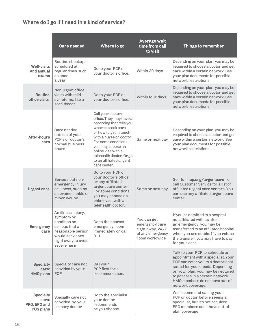## <span id="page-15-0"></span>Where do I go if I need this kind of service?

|                                                        | <b>Care needed</b>                                                                                                                                | Where to go                                                                                                                                                                                                                                                                                     | Average wait<br>time from call<br>to visit                                               | Things to remember                                                                                                                                                                                                                                                                 |
|--------------------------------------------------------|---------------------------------------------------------------------------------------------------------------------------------------------------|-------------------------------------------------------------------------------------------------------------------------------------------------------------------------------------------------------------------------------------------------------------------------------------------------|------------------------------------------------------------------------------------------|------------------------------------------------------------------------------------------------------------------------------------------------------------------------------------------------------------------------------------------------------------------------------------|
| <b>Well-visits</b><br>and annual<br>exams              | Routine checkups<br>scheduled at<br>regular times, such<br>as once<br>a year                                                                      | Go to your PCP or<br>your doctor's office.                                                                                                                                                                                                                                                      | Within 30 days                                                                           | Depending on your plan, you may be<br>required to choose a doctor and get<br>care within a certain network. See<br>your plan documents for possible<br>network restrictions.                                                                                                       |
| Routine<br>office visits                               | Nonurgent office<br>visits with mild<br>symptoms, like a<br>sore throat                                                                           | Go to your PCP or<br>your doctor's office.                                                                                                                                                                                                                                                      | Within four days                                                                         | Depending on your plan, you may be<br>required to choose a doctor and get<br>care within a certain network. See<br>your plan documents for possible<br>network restrictions.                                                                                                       |
| After-hours<br>care                                    | Care needed<br>outside of your<br>PCP's or doctor's<br>normal business<br>hours                                                                   | Call your doctor's<br>office. They may have a<br>recording that tells you<br>where to seek care<br>or how to get in touch<br>with a nurse or doctor.<br>For some conditions,<br>you may choose an<br>online visit with a<br>telehealth doctor. Or go<br>to an affiliated urgent<br>care center. | Same or next day                                                                         | Depending on your plan, you may be<br>required to choose a doctor and get<br>care within a certain network. See<br>your plan documents for possible<br>network restrictions.                                                                                                       |
| <b>Urgent care</b>                                     | Serious but non-<br>emergency injury<br>or illness, such as<br>a sprained ankle or<br>minor wound                                                 | Go to your PCP or<br>your doctor's office<br>or any affiliated<br>urgent care center.<br>For some conditions,<br>you may choose an<br>online visit with a<br>telehealth doctor.                                                                                                                 | Same or next day                                                                         | Go to hap.org/urgentcare or<br>call Customer Service for a list of<br>affiliated urgent care centers. You<br>can use any affiliated urgent care<br>center.                                                                                                                         |
| <b>Emergency</b><br>care                               | An illness, injury,<br>symptom or<br>condition so<br>serious that a<br>reasonable person<br>would seek care<br>right away to avoid<br>severe harm | Go to the nearest<br>emergency room<br>immediately or call<br>911.                                                                                                                                                                                                                              | You can get<br>emergency care<br>right away, 24/7<br>at any emergency<br>room worldwide. | If you're admitted to a hospital<br>not affiliated with us after<br>an emergency, you may be<br>transferred to an affiliated hospital<br>when you are stable. If you refuse<br>the transfer, you may have to pay<br>for your care.                                                 |
| <b>Specialty</b><br>care:<br><b>HMO</b> plans          | Specialty care not<br>provided by your<br><b>PCP</b>                                                                                              | Call your<br>PCP first for a<br>recommendation.                                                                                                                                                                                                                                                 |                                                                                          | Talk to your PCP to schedule an<br>appointment with a specialist. Your<br>PCP can refer you to a doctor best<br>suited for your needs. Depending<br>on your plan, you may be required<br>to get care in a certain network.<br>HMO members do not have out-of-<br>network coverage. |
| <b>Specialty</b><br>care:<br>PPO, EPO and<br>POS plans | Specialty care not<br>provided by your<br>primary doctor                                                                                          | Go to the specialist<br>your doctor<br>recommends<br>or you choose.                                                                                                                                                                                                                             |                                                                                          | We recommend calling your<br>PCP or doctor before seeing a<br>specialist, but it's not required.<br>EPO members don't have out-of-<br>plan coverage.                                                                                                                               |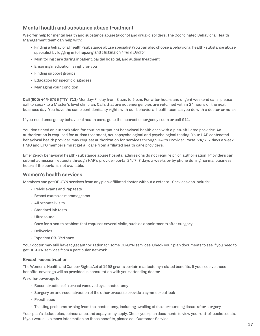### <span id="page-16-0"></span>Mental health and substance abuse treatment

We offer help for mental health and substance abuse (alcohol and drug) disorders. The Coordinated Behavioral Health Management team can help with:

- Finding a behavioral health/substance abuse specialist (You can also choose a behavioral health/substance abuse specialist by logging in to hap.org and clicking on *Find a Doctor*
- Monitoring care during inpatient, partial hospital, and autism treatment
- Ensuring medication is right for you
- Finding support groups
- Education for specific diagnoses
- Managing your condition

Call (800) 444-5755 (TTY: 711) Monday-Friday from 8 a.m. to 5 p.m. For after hours and urgent weekend calls, please call to speak to a Master's level clinician. Calls that are not emergencies are returned within 24 hours or the next business day. You have the same confidentiality rights with our behavioral health team as you do with a doctor or nurse.

If you need emergency behavioral health care, go to the nearest emergency room or call 911.

You don't need an authorization for routine outpatient behavioral health care with a plan-affiliated provider. An authorization is required for autism treatment, neuropsychological and psychological testing. Your HAP contracted behavioral health provider may request authorization for services through HAP's Provider Portal 24/7, 7 days a week. HMO and EPO members must get all care from affiliated health care providers.

Emergency behavioral health/substance abuse hospital admissions do not require prior authorization. Providers can submit admission requests through HAP's provider portal 24/7, 7 days a weeks or by phone during normal business hours if the portal is not available.

### <span id="page-16-1"></span>Women's health services

Members can getOB-GYN services from any plan-affiliated doctor without a referral. Services can include:

- Pelvic exams andPap tests
- Breast exams or mammograms
- All prenatal visits
- Standard lab tests
- Ultrasound
- $\cdot$  Care for a health problem that requires several visits, such as appointments after surgery
- Deliveries
- InpatientOB-GYN care

Your doctor may still have to get authorization for some OB-GYN services.Check your plan documents to see if you need to get OB-GYN services from a particular network.

### Breast reconstruction

The Women's Health and Cancer Rights Act of 1998 grants certain mastectomy-related benefits. If you receive these benefits, coverage will be provided in consultation with your attending doctor.

We offer coverage for:

- Reconstruction of a breast removed by a mastectomy
- Surgery on and reconstruction of the other breast to provide a symmetrical look
- Prosthetics
- Treating problems arising from the mastectomy, including swelling of the surrounding tissue after surgery

Your plan's deductibles, coinsurance and copays may apply. Check your plan documents to view your out-of-pocket costs. If you would like more information on these benefits, please call Customer Service.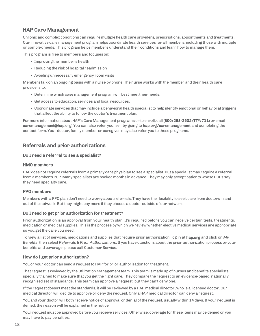### <span id="page-17-0"></span>HAP Care Management

Chronic and complex conditions can require multiple health care providers, prescriptions, appointments and treatments. Our innovative care management program helps coordinate health services for all members, including those with multiple or complex needs. This program helps members understand their conditions and learn how to manage them.

This program is free to members and focuses on:

- Improving the member's health
- Reducing the risk of hospital readmission
- Avoiding unnecessary emergency room visits

Members talk on an ongoing basis with a nurse by phone. The nurse works with the member and their health care providers to:

- Determine which case management program will best meettheir needs.
- Get access to education, services and local resources.
- Coordinate services that may include a behavioral health specialist to help identify emotional or behavioral triggers that affect the ability to follow the doctor's treatment plan.

For more information about HAP's Care Management programs or to enroll, call (800) 288-2902 (TTY: 711) or email [caremanagement@hap.org. Y](mailto:caremanagement@hap.org)ou can also refer yourself by going to hap.org/caremanagement and completing the contact form. Your doctor, family member or caregiver may also refer you to these programs.

### Referrals and prior authorizations

### Do I need a referral to see a specialist?

### HMO members

HAP does not require referrals from a primary care physician to see a specialist. But a specialist may require a referral from a member's PCP. Many specialists are booked months in advance. They may only accept patients whose PCPs say they need specialty care.

### PPO members

Members with a PPO plan don't need to worry about referrals. They have the flexibility to seek care from doctors in and out of the network. But they might pay more if they choose a doctor outside of our network.

### Do I need to get prior authorization for treatment?

Prior authorization is an approval from your health plan. It's required before you can receive certain tests, treatments, medication or medical supplies. This is the process by which we review whether elective medical services are appropriate so you get the care you need.

To view a list of services, medications and supplies that require prior authorization, log in at hap.org and click on *My Benefits*, then select *Referrals & Prior Authorizations*. If you have questions about the prior authorization process or your benefits and coverage, please call Customer Service.

### How do I get prior authorization?

You or your doctor can send a request to HAP for prior authorization for treatment.

That request is reviewed by the Utilization Management team. This team is made up of nurses and benefits specialists specially trained to make sure that you get the right care. They compare the request to an evidence-based, nationally recognized set of standards. This team can approve a request, but they can't deny one.

If the request doesn't meet the standards, it will be reviewed by a HAP medical director, who is a licensed doctor. Our medical director will decide to approve or deny the request. Only a HAP medical director can deny a request.

You and your doctor will both receive notice of approval or denial of the request, usually within 14 days. If your request is denied, the reason will be explained in the notice.

Your request must be approved before you receive services. Otherwise, coverage for these items may be denied or you may have to pay penalties.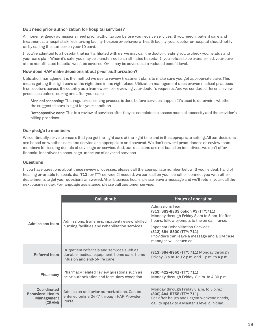### Do I need prior authorization for hospital services?

All nonemergency admissions need prior authorization before you receive services. If you need inpatient care and treatment at a hospital, skilled nursing facility, hospice or behavioral health facility, your doctor or hospital should notify us by calling the number on your ID card.

If you're admitted to a hospital thatisn't affiliated with us, we may call the doctor treating you to check your status and your care plan. When it's safe, you may be transferred to an affiliated hospital. If you refuse to be transferred, your care at the nonaffiliated hospital won't be covered. Or, it may be covered at a reduced benefit level.

### How does HAP make decisions about prior authorization?

Utilization management is the method we use to review treatment plans to make sure you get appropriate care. This means getting the right care at the right time in the right place. Utilization management uses proven medical practices from doctors across the country as a framework for reviewing your doctor's requests. And we conduct different review processes before, during and after your care:

Medical screening: This regular screening process is done before services happen. It's used to determine whether the suggested care is right for your condition.

Retrospective care: This is a review of services after they're completed to assess medical necessity and theprovider's billing practices.

### Our pledge to members

We continually strive to ensure that you get the right care at the right time and in the appropriate setting. All our decisions are based on whether care and service are appropriate and covered. We don't reward practitioners or review team members for issuing denials of coverage or service. And, our decisions are not based on incentives, we don't offer financial incentives to encourage underuse of covered services.

### **Ouestions**

If you have questions about these review processes, please call the appropriate number below. If you're deaf, hard of hearing or unable to speak, dial 711 for TTY service. If needed, we can call on your behalf or connect you with other departments to get your questions answered.After business hours, please leave a message and we'll return your call the next business day. For language assistance, please call customer service.

|                                                                 | Call about:                                                                                                              | Hours of operation                                                                                                                                                                                 |
|-----------------------------------------------------------------|--------------------------------------------------------------------------------------------------------------------------|----------------------------------------------------------------------------------------------------------------------------------------------------------------------------------------------------|
| <b>Admissions team</b>                                          | Admissions, transfers, inpatient review, skilled<br>nursing facilities and rehabilitation services                       | Admissions Team,<br>(313) 663-8833 option #3 (TTY:711)<br>Monday through Friday 8 am to 5 pm. If after<br>hours, follow prompts to the on call nurse.<br><b>Inpatient Rehabilitation Services,</b> |
|                                                                 |                                                                                                                          | (313) 664-8800 (TTY: 711)<br>Providers can leave a message and a UM case<br>manager will return call.                                                                                              |
| Referral team                                                   | Outpatient referrals and services such as<br>durable medical equipment, home care, home<br>infusion and end-of-life care | (313) 664-8950 (TTY: 711) Monday through<br>Friday, 8 a.m. to $12$ p.m. and $1$ p.m. to 4 p.m.                                                                                                     |
| <b>Pharmacy</b>                                                 | Pharmacy related review questions such as<br>prior authorization and formulary exception                                 | (800) 422-4641 (TTY: 711)<br>Monday through Friday, 8 a.m. to 4:30 p.m.                                                                                                                            |
| Coordinated<br><b>Behavioral Health</b><br>Management<br>(CBHM) | Admission and prior authorizations. Can be<br>entered online 24/7 through HAP Provider<br>Portal                         | Monday through Friday 8 a.m. to 5 p.m.:<br>(800) 444-5755 (TTY: 711).<br>For after hours and urgent weekend needs,<br>call to speak to a Master's level clinician.                                 |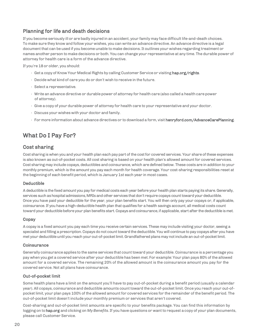### <span id="page-19-0"></span>Planning for life and death decisions

If you become seriously ill or are badly injured in an accident, your family may face difficult life-and-death choices. To make sure they know and follow your wishes, you can write an advance directive. An advance directive is a legal document that can be used if you become unable to make decisions. It outlines your wishes regarding treatment or names another person to make decisions or both. You can change your representative at any time. The durable power of attorney for health care is a form of the advance directive.

If you're 18or older, you should:

- Get a copy of Know Your Medical Rights by calling Customer Service or visiting hap.org/rights.
- Decide what kind of care you do or don't wish to receive in the future.
- Select a representative.
- Write an advance directive or durable power of attorney for health care (also called a health care power of attorney).
- Give a copy of your durable power of attorney for health care to your representative and your doctor.
- Discuss your wishes with your doctor and family.
- For more information about advance directives or to download a form, visit henryford.com/AdvanceCarePlanning.

### <span id="page-19-1"></span>What Do I Pay For?

### Cost sharing

Cost sharing is when you and your health plan each pay part of the cost for covered services. Your share of these expenses is also known as out-of-pocket costs. All cost sharing is based on your health plan's allowed amount for covered services. Cost sharing may include copays, deductibles and coinsurance, which are defined below. These costs are in addition to your monthly premium, which is the amount you pay each month for health coverage. Your cost-sharing responsibilities reset at the beginning of each benefit period, which is January 1st each year in most cases.

### <span id="page-19-2"></span>Deductible

A deductible is the fixed amount you pay for medical costs each year before your health plan starts paying its share. Generally, services such as hospital admissions, MRIs and other services that don't require copays count toward your deductible. Once you have paid your deductible for the year, your plan benefits start. You will then only pay your copays or, if applicable, coinsurance. If you have a high-deductible health plan that qualifies for a health savings account, all medical costs count toward your deductible before your plan benefits start. Copays and coinsurance, if applicable, start after the deductible is met.

### <span id="page-19-3"></span>Copay

A copay is a fixed amount you pay each time you receive certain services. These may include visiting your doctor, seeing a specialist and filling a prescription. Copays do not count toward the deductible. You will continue to pay copays after you have met your deductible until you reach your out-of-pocket limit. Grandfathered plans may not include an out-of-pocket limit.

### <span id="page-19-4"></span>**Coinsurance**

Generally coinsurance applies to the same services that count toward your deductible. Coinsurance is a percentage you pay when you get a covered service after your deductible has been met. For example: Your plan pays 80% of the allowed amount for a covered service. The remaining 20% of the allowed amount is the coinsurance amount you pay for the covered service. Not all plans have coinsurance.

### <span id="page-19-5"></span>Out-of-pocket limit

Some health plans have a limit on the amount you'll have to pay out-of-pocket during a benefit period (usually a calendar year). All copays, coinsurance and deductible amounts count toward the out-of-pocket limit. Once you reach your out-ofpocket limit, your plan pays 100% of the allowed amount for covered services for the remainder of the benefit period. The out-of-pocket limit doesn't include your monthly premium or services that aren't covered.

Cost-sharing and out-of-pocket limit amounts are specific to your benefits package. You can find this information by logging on to hap.org and clicking on *MyBenefits*. If you have questions or want to request a copy of your plan documents, please call Customer Service.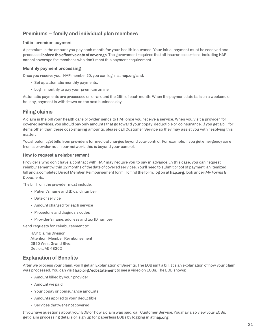### <span id="page-20-0"></span>Premiums – family and individual plan members

### Initial premium payment

A premium is the amount you pay each month for your health insurance. Your initial payment must be received and processed before the effective date of coverage. The government requires that all insurance carriers, including HAP, cancel coverage for members who don't meet this payment requirement.

### Monthly payment processing

Once you receive your HAP member ID, you can log in at hap.org and:

- Setup automatic monthly payments.
- Log in monthly to pay your premium online.

Automatic payments are processed on or around the 26th of each month. When the payment date falls on a weekend or holiday, payment is withdrawn on the next business day.

### <span id="page-20-1"></span>Filing claims

A claim is the bill your health care provider sends to HAP once you receive a service. When you visit a provider for covered services, you should pay only amounts that go toward your copay, deductible or coinsurance. If you get a bill for items other than these cost-sharing amounts, please call Customer Service so they may assist you with resolving this matter.

You shouldn't get bills from providers for medical charges beyond your control. For example, if you get emergency care from a provider not in our network, this is beyond your control.

### How to request a reimbursement

Providers who don't have a contract with HAP may require you to pay in advance. In this case, you can request reimbursement within 12 months of the date of covered services. You'll need to submit proof of payment, an itemized bill and a completed Direct Member Reimbursement form. To find the form, log on at hap.org, look under *My Forms & Documents.*

The bill from the provider must include:

- Patient's name and ID card number
- Date of service
- Amount charged for each service
- Procedure and diagnosis codes
- $\cdot$  Provider's name, address and tax ID number

Send requests for reimbursement to:

HAP Claims Division Attention: Member Reimbursement 2850 West Grand Blvd. Detroit, MI 48202

### <span id="page-20-2"></span>Explanation of Benefits

After we process your claim, you'll get an Explanation of Benefits. The EOB isn't a bill. It's an explanation of how your claim was processed. You can visit hap.org/eobstatement to see a video on EOBs. The EOB shows:

- Amount billed by your provider
- Amount we paid
- Your copay or coinsurance amounts
- Amounts applied to your deductible
- Services that were not covered

If you have questions about your EOB or how a claim was paid, call Customer Service. You may also view your EOBs, get claim processing details or sign up for paperless EOBs by logging in at hap.org.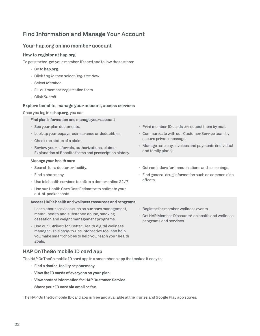## <span id="page-21-0"></span>Find Information and Manage Your Account

### Your hap.org online member account

### <span id="page-21-1"></span>How to register at hap.org

To get started, get your member ID card and follow these steps:

- Go to hap.org.
- Click *Log In* then select *Register Now*.
- Select *Member*.
- Fill out member registration form.
- Click *Submit*.

### <span id="page-21-2"></span>Explore benefits, manage your account, access services

Once you log in to hap.org, you can:

#### Find plan information and manage your account

- See your plan documents.
- Lookup your copays, coinsurance or deductibles.
- Check the status of a claim.
- Review your referrals, authorizations, claims, Explanation of Benefits forms and prescription history.

#### Manage your health care

- Search for a doctor or facility.
- Find a pharmacy.
- Use telehealth services to talk to a doctor online 24/7.
- Use our Health Care Cost Estimator to estimate your out-of-pocket costs.

### Access HAP's health and wellness resources and programs

- Learn about services such as our care management, mental health and substance abuse, smoking cessation and weight management programs.
- Use our iStrive® for Better Health digital wellness manager. This easy-to-use interactive tool can help you make smart choices to help you reach your health goals.

### HAP OnTheGo mobile ID card app

The HAP OnTheGo mobile ID card app is a smartphone app that makes it easy to:

- Find a doctor, facility or pharmacy.
- View the ID cards of everyone on your plan.
- View contact information for HAP Customer Service.
- Share your ID card via email or fax.

The HAP OnTheGo mobile ID card app is free and available at the iTunes and Google Play app stores.

 $\cdot$  Print member ID cards or request them by mail. • Communicate with our Customer Service team by

• Manage auto pay, invoices and payments (individual

• Get reminders for immunizations and screenings. • Find general drug information such as common side

secure private message.

and family plans).

effects.

- Register for member wellness events.
- GetHAP Member Discounts\* on health and wellness programs and services.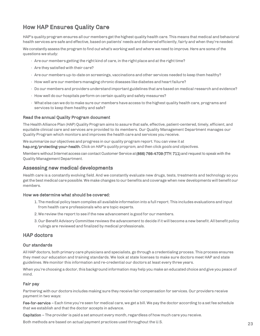## <span id="page-22-0"></span>How HAP Ensures Quality Care

HAP's qualityprogram ensures all our members get the highest qualityhealth care. This means that medical and behavioral health services are safe and effective, based on patients' needs and delivered efficiently, fairly and when they're needed.

We constantlyassess the program to find out what's working well and where we need to improve. Here are some of the questions we study:

- Are our members getting the right kind of care, in the right place and at the right time?
- Are they satisfied with their care?
- Are our membersup-to-date on screenings, vaccinations and other services needed to keep them healthy?
- $\cdot$  How well are our members managing chronic diseases like diabetes and heart failure?
- Do our members and providers understand important guidelines that are based on medical research and evidence?
- How well do our hospitals perform on certain quality and safety measures?
- What else can we do to make sure our members have access to the highest quality health care, programs and services to keep them healthy and safe?

### Read the annual Quality Program document

The Health Alliance Plan (HAP) Quality Program aims to assure that safe, effective, patient-centered, timely, efficient, and equitable clinical care and services are provided to its members. Our Quality Management Department manages our Quality Program which monitors and improves the health care and services you receive.

We summarize our objectives and progress in our quality program report. You can view it at hap.org/protecting-your-health. Click on *HAP's quality program,* and then click *goals and objectives.*

Members without Internet access can contact Customer Service at (866) 766-4709 (TTY: 711) and request to speak with the Quality Management Department.

### <span id="page-22-1"></span>Assessing new medical developments

Health care is a constantly evolving field. And we constantly evaluate new drugs, tests, treatments and technology so you get the best medical care possible. We make changes to our benefits and coverage when new developments will benefit our members.

### How we determine what should be covered:

- 1. The medical policy team compiles all available information into a full report. This includes evaluations and input from health care professionals who are topic experts.
- 2. We review the report to see if the new advancement is good for our members.
- 3. Our Benefit Advisory Committee reviews the advancement to decide if it will become a new benefit. All benefit policy rulings are reviewed and finalized by medical professionals.

### <span id="page-22-2"></span>HAP doctors

### Our standards

All HAP doctors, both primary care physicians and specialists, go through a credentialing process. This process ensures they meet our education and training standards. We look at state licenses to make sure doctors meet HAP and state guidelines. We monitor this information and re-credential our doctors at least every three years.

When you're choosing a doctor, this background information mayhelp you make an educated choice and give you peace of mind.

### Fair pay

Partnering with our doctors includes making sure they receive fair compensation for services. Our providers receive payment in two ways:

Fee-for-service – Each time you're seen for medical care, we get a bill. We pay the doctor according to a set fee schedule that we establish and that the doctor accepts in advance.

Capitation – The provider is paid a set amount every month, regardless of how much care you receive.

Both methods are based on actual payment practices used throughout the U.S. 23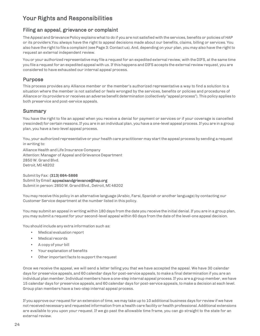## <span id="page-23-0"></span>Your Rights and Responsibilities

### <span id="page-23-1"></span>Filing an appeal, grievance or complaint

The Appeal and Grievance Policy explains what to do if you are not satisfied with the services, benefits or policies of HAP or its providers.You always have the right to appeal decisions made about our benefits, claims, billing or services. You also have the right to file a complaint (see Page 3: Contactus). And, depending on your plan, you may also have the right to request an external independent review.

You or your authorized representative may file a request for an expedited external review, with the DIFS, at the same time you file a request for an expedited appeal with us. If this happens and DIFS accepts the external review request, you are considered to have exhausted our internal appeal process.

### Purpose

This process provides any Alliance member or the member's authorized representative a way to find a solution to a situation where the member is not satisfied or feels wronged by the services, benefits or policies and procedures of Alliance or its providers or receives an adverse benefit determination (collectively "appeal process"). This policy applies to both preservice and post-service appeals.

### Summary

You have the right to file an appeal when you receive a denial for payment or services or if your coverage is cancelled (rescinded) for certain reasons. If you are in an individual plan, you have a one-level appeal process. If you are in a group plan, you have a two-level appeal process.

You, your authorized representative or your health care practitioner may start the appeal process by sending a request in writing to:

Alliance Health and Life Insurance Company Attention: Manager of Appeal and Grievance Department 2850 W. Grand Blvd. Detroit, MI 48202

Submit by Fax: (313) 664-5866 Submit by Email: [appealsandgriev](mailto:appealsandgrievance@hap.org)[ance@hap.org](mailto:ance@hap.org)  Submitin person: 2850W.GrandBlvd., Detroit, MI 48202

You may receive this policy in an alternative language (Arabic, Farsi, Spanish or another language) by contacting our Customer Service department at the number listed in this policy.

You may submit an appeal in writing within 180 days from the date you receive the initial denial. If you are in a group plan, you may submit a request for your second-level appeal within 60 days from the date of the level-one appeal decision.

You should include any extra information such as:

- Medical evaluation report
- Medical records
- A copy of your bill
- Your explanation of benefits
- Other important facts to support the request

Once we receive the appeal, we will send a letter telling you that we have accepted the appeal. We have 30 calendar days for preservice appeals, and 60calendar days for post-service appeals, to make a final determination if you are an individual plan member. Individual members have a one-step internal appeal process. If you are a group member, we have 15 calendar days for preservice appeals, and 60calendar days for post-service appeals, to make a decision at each level. Group plan members have a two-step internal appeal process.

If you approve our requestfor an extension of time, we may take up to 10 additional business days for review if we have not received necessary and requested information from a health care facility or health professional.Additional extensions are available to you upon your request. If we go past the allowable time frame, you can go straight to the state for an external review.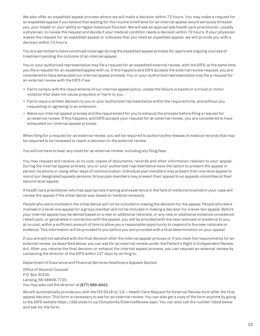We also offer an expedited appeal process where we will make a decision within 72 hours. You may make a request for an expedited appeal if you believe that waiting for the routine timeframe for an internal appeal would seriously threaten you, your health or your ability to regain maximum function. We will ask an appropriate health care practitioner, usually a physician, to review the request and decide if your medical condition needs a decision within 72 hours.If your physician makes the request for an expedited appeal or indicates that you need an expedited appeal, we will provide you with a decision within 72 hours.

You are permitted to have continued coverage during the expedited appeal process for approved ongoing courses of treatment pending the outcome of an internal appeal.

You or your authorized representative may file a request for an expedited external review, with the DIFS, at the same time you file a request for an expedited appeal with us. If this happens and DIFS accepts the external review request, you are considered to have exhausted our internal appeal process. You or your authorized representative may file a request for an external review with the DIFS if we:

- Failto comply with the requirements of our internal appeal policy, unless the failure is based on a trivial or minor violation that does not cause prejudice or harm to you.
- Failto issue a written decision to you or your authorized representative within the required time, and without you requesting or agreeing to an extension.
- Waive our internal appeal process and the requirement for you to exhaust the process before filing a request for an external review.If this happens, andDIFS accepts your requestfor an external review, you are considered to have exhausted our internal appeal process.

When filing for a request for an external review, you will be required to authorize the release of medical records that may be required to be reviewed to reach a decision on the external review.

You will not have to bear any costs for an external review, including any filing fees.

You may request and receive, at no cost, copies of documents, records and other information relevant to your appeal. During the internal appeal process, you or your authorized representative have the option to present the appeal in person, by phone or using other ways of communication. Individual plan members may present their one level appeal to one of our designated appeals persons.Group plan members may present their appeal to an appeals committee at their second-level appeal.

A health care practitioner who has appropriate training and experience in the field of medicine involved in your case will review the appeal if the initial denial was based on medical necessity.

People who were involved in the initial denial will not be included in making the decision for the appeal. People who were involved in a level-one appeal for a group member will not be included in making a decision for a level-two appeal. Before your internal appeal may be denied based on a new or additional rationale, or any new or additional evidence considered, reliedupon, or generated in connection with the appeal, you will be provided with the new rationale or evidence to you, at no cost, within a sufficient amount of time to allow you a reasonable opportunity to respond to the new rationale or evidence. This information will be provided to you before you are provided with a final determination on your appeal.

If you are still not satisfied with the final decision after the internal appeal process or if you meet the requirements for an external review, as described above, you can ask for an external review under thePatient's Right to Independent Review Act. After you receive the final decision or exhaust the internal appeal process, you can request an external review by contacting the director of the DIFS within 127 days by writing to:

Department of Insurance and Financial Services Healthcare Appeals Section

Office of General Counsel P.O.Box 30220 Lansing, MI 48909-7720 You may also call the director at (877) 999-6442.

We will automatically provide you with the FIS 0018 (4/13) – Health Care Request for External Review form after the final appeal decision. This form is necessary to ask for an external review. You can also get a copy of the form anytime by going to the DIFS website *https://difs.state.mi.us/Complaints/ExternalReview.aspx*. You can also call the number listed below and ask for the form.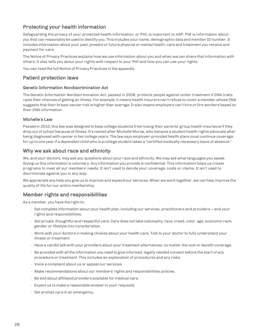### <span id="page-25-0"></span>Protecting your health information

Safeguarding the privacy of your protected health information, or PHI, is important to HAP. PHI is information about you that can reasonably be used to identify you. This includes your name, demographic data and member ID number. It includes information about your past, present or future physical or mental health, care and treatment you receive and payment for care.

The Notice of Privacy Practices explains how we use information about you and when we can share that information with others. It also tells you about your rights with respect to your PHI and how you can use your rights.

You can read the full Notice of Privacy Practices in the appendix.

### <span id="page-25-1"></span>Patient protection laws

### Genetic Information Nondiscrimination Act

The Genetic Information Nondiscrimination Act, passed in 2008, protects people against unfair treatment if DNA traits raise their chances of getting an illness. For example, it means health insurers can't refuse to cover a member whose DNA suggests that their breast cancer risk is higher than average.It also means employers can't hire or fire workers based on their DNA information.

### Michelle's Law

Passed in 2010, this law was designed to keep college students from losing their parents' group health insurance if they drop out of school because of illness. It's named after MichelleMorse, who became a student health rights advocate after being diagnosed with cancer in her college years. The law says employer-provided health plans must continue coverage for up to one year if a dependent child who is a college student takes a "certified medicallynecessary leave of absence."

### <span id="page-25-2"></span>Why we ask about race and ethnicity

We, and your doctors, mayask you questions about your race and ethnicity. We may ask what languages you speak. Giving us this information is voluntary. Any information you provide is confidential. This information helps us create programs to meet all our members' needs. It isn't used to decide your coverage, costs or claims. It isn't used to discriminate against you in any way.

We appreciate any help you give us to improve and expand our services. When we work together, we can help improve the quality of life for our entire membership.

### <span id="page-25-3"></span>Member rights and responsibilities

As a member, you have the right to:

- Get complete information about your health plan, including our services, practitioners and providers and your rights and responsibilities.
- Get private, thoughtful and respectful care. Care does nottake nationality, race, creed, color, age, economic rank, gender or lifestyle into consideration.
- Work with your doctors in making choices about your health care. Talk to your doctor to fully understand your illness or treatment.
- Have a candid talk with your providers about your treatment alternatives, no matter the cost or benefit coverage.
- Be provided with allthe information you need to give informed, legallyneeded consent before the start of any procedure or treatment. This includes an explanation of procedures and any risks.
- $\cdot$  Voice a complaint about us or appeal our services.
- Make recommendations about our members' rights and responsibilities policies.
- Be told about affiliated providers available for medical care.
- $\cdot$  Expect us to make a reasonable answer to your requests.
- Get prompt care in an emergency.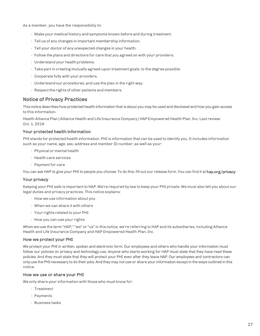As a member, you have the responsibility to:

- Make your medical history and symptoms known before and during treatment.
- Tellus of any changes in important membership information.
- Tell your doctor of anyunexpected changes in your health.
- Follow the plans and directions for care that you agreed on with your providers.
- Understand your health problems.
- Take part in creating mutually agreed-upon treatment goals, to the degree possible.
- Cooperate fully with your providers.
- Understand our procedures, anduse the plan in the right way.
- $\cdot$  Respect the rights of other patients and members.

### <span id="page-26-0"></span>Notice of Privacy Practices

This notice describes how protected health information that is about you may be used and disclosed and how you gain access to this information.

Health Alliance Plan | Alliance Health and Life Insurance Company | HAP Empowered Health Plan, Inc. Last review: Oct. 1, 2018

### Your protected health information

PHI stands for protected health information. PHI is information that can be used to identify you. It includes information such as your name, age, sex, address and member ID number, as well as your:

- Physical or mental health
- Health care services
- Paymentfor care

You can ask HAP to give your PHI to people you choose. To do this, fill out our release form. You can find it at hap.org/privacy.

### Your privacy

Keeping your PHI safe is important to HAP. We're required by law to keep your PHI private. We must also tell you about our legal duties and privacy practices. This notice explains:

- How we use information about you
- When we can share it with others
- Your rights related to your PHI
- How you can use your rights

When we use the term "HAP," "we" or "us" in this notice, we're referring to HAP and its subsidiaries, including Alliance Health and Life Insurance Company and HAP Empowered Health Plan, Inc.

### How we protect your PHI

We protect your PHI in written, spoken and electronic form. Our employees and others who handle your information must follow our policies on privacy and technology use. Anyone who starts working for HAP must state that they have read these policies. And they must state that they will protect your PHI even after they leave HAP. Our employees and contractors can onlyuse thePHInecessary to do their jobs.And they maynotuse or share your information exceptin theways outlined in this notice.

### How we use or share your PHI

We only share your information with those who must know for:

- Treatment
- Payments
- Business tasks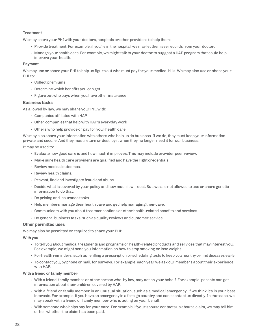### **Treatment**

We may share your PHI with your doctors, hospitals or other providers to help them:

- Provide treatment. For example, if you're in the hospital, we may let them see records from your doctor.
- Manage your health care. For example, we might talk to your doctor to suggest a HAP program that could help improve your health.

#### Payment

We mayuse or share your PHI to helpus figure out who must pay for your medical bills. We may also use or share your PHI to:

- Collect premiums
- Determine which benefits you can get
- Figure out who pays when you have other insurance

### Business tasks

As allowed by law, we may share your PHI with:

- Companies affiliated with HAP
- Other companies that help with HAP's everyday work
- Others who help provide or pay for your health care

We may also share your information with others who help us do business. If we do, they must keep your information private and secure. And they must return or destroy it when they no longer need it for our business.

It may be used to:

- Evaluate how good care is and how much it improves. This may include provider peer review.
- Make sure health care providers are qualified and have the right credentials.
- Review medical outcomes.
- Review health claims.
- Prevent, find and investigate fraud and abuse.
- Decide what is covered by your policy and how much it will cost.But, we are not allowed to use or share genetic information to do that.
- Do pricing and insurance tasks.
- Help members manage their health care and get help managing their care.
- Communicate with you about treatment options or other health-related benefits and services.
- Do general business tasks, such as quality reviews and customer service.

#### Other permitted uses

We may also be permitted or required to share your PHI:

#### With you

- $\cdot$  To tell you about medical treatments and programs or health-related products and services that may interest you. For example, we might send you information on how to stop smoking or lose weight.
- For health reminders, such as refilling a prescription or scheduling tests to keep you healthy or find diseases early.
- To contact you, by phone or mail, for surveys. For example, each year we ask our members about their experience with HAP.

#### With a friend or family member

- $\cdot$  With a friend, family member or other person who, by law, may act on your behalf. For example, parents can get information about their children covered by HAP.
- With a friend or family member in an unusual situation, such as a medical emergency, if we think it's in your best interests. For example, if you have an emergency in a foreign country and can't contactus directly.In that case, we may speak with a friend or family member who is acting on your behalf.
- $\cdot$  With someone who helps pay for your care. For example, if your spouse contacts us about a claim, we may tell him or her whether the claim has been paid.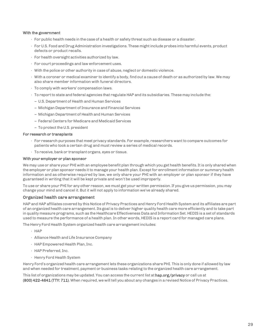#### With the government

- For public health needs in the case of a health or safety threat such as disease or a disaster.
- ForU.S. Food and Drug Administration investigations. These might include probes into harmful events, product defects or product recalls.
- For health oversight activities authorized by law.
- For court proceedings and law enforcement uses.
- With the police or other authority in case of abuse, neglect or domestic violence.
- With a coroner or medical examiner to identify a body, find out a cause of death or as authorized by law. We may also share member information with funeral directors.
- To comply with workers' compensation laws.
- $\cdot$  To report to state and federal agencies that regulate HAP and its subsidiaries. These may include the:
- U.S.Department of Health and Human Services
- Michigan Department of Insurance and Financial Services
- Michigan Department of Health and Human Services
- Federal Centers for Medicare and Medicaid Services
- To protect theU.S. president

#### For research or transplants

- For research purposes that meet privacy standards. For example, researchers want to compare outcomes for patients who took a certain drug and must review a series of medical records.
- To receive, bank or transplant organs, eyes or tissue.

#### With your employer or plan sponsor

We may use or share your PHI with an employee benefit plan through which you get health benefits.It is only shared when the employer or plan sponsor needs it to manage your health plan. Except for enrollment information or summaryhealth information and as otherwise required by law, we only share your PHI with an employer or plan sponsor if they have guaranteed in writing that it will be kept private and won't be used improperly.

To use or share your PHI for any other reason, we must get your written permission.If you give us permission, you may change your mind and cancel it. But it will not apply to information we've already shared.

#### Organized health care arrangement

HAP and HAP affiliates covered by this Notice of Privacy Practices and Henry Ford Health System and its affiliates are part of an organized health care arrangement.Its goal is to deliver higher quality health care more efficiently and to take part in quality measure programs, such as the Healthcare Effectiveness Data and Information Set. HEDIS is a set of standards used to measure the performance of a health plan.In other words, HEDIS is a report card for managed care plans.

The Henry Ford Health System organized health care arrangement includes:

- HAP
- Alliance Health and Life Insurance Company
- HAP Empowered Health Plan,Inc.
- HAP Preferred,Inc.
- Henry Ford Health System

Henry Ford's organized health care arrangement lets these organizations share PHI. This is only done if allowed by law and when needed for treatment, payment or business tasks relating to the organized health care arrangement.

This list of organizations may be updated. You can access the current list at hap.org/privacy or call us at (800) 422-4641 (TTY: 711). When required, we will tell you about any changes in a revised Notice of Privacy Practices.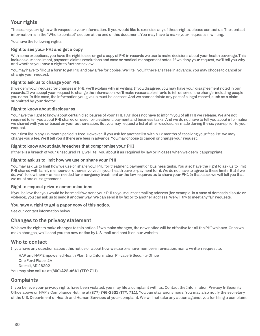### Your rights

These are your rights with respect to your information. If you would like to exercise any of these rights, please contact us. The contact information is in the "Who to contact" section at the end of this document. You may have to make your requests in writing.

You have the following rights:

### Right to see your PHI and get a copy

With some exceptions, you have the right to see or get a copy of PHI in records we use to make decisions about your health coverage. This includes our enrollment, payment, claims resolutions and case or medical management notes. If we deny your request, we'll tell you why and whether you have a right to further review.

You mayhave to fill out a form to get PHI and pay a fee for copies. We'll tell you if there are fees in advance. You may choose to cancel or change your request.

### Right to ask us to change your PHI

If we deny your request for changes in PHI, we'll explain why in writing. If you disagree, you may have your disagreement noted in our records.If we accept your request to change the information, we'll make reasonable efforts to tell others ofthe change, including people you name. In this case, the information you give us must be correct. And we cannot delete any part of a legal record, such as a claim submitted by your doctor.

### Right to know about disclosures

You have the right to know about certain disclosures of your PHI. HAP does not have to inform you of all PHI we release. We are not required to tell you about PHI shared or used for treatment, payment and business tasks. And we do not have to tell you about information we shared with you or based on your authorization.But you may request a list of other disclosures made during the six years prior to your request.

Your first list in any 12-month period is free. However, if you ask for another list within 12 months of receiving your free list, we may charge you a fee. We'll tell you if there are fees in advance. You may choose to cancel or change your request.

### Right to know about data breaches that compromise your PHI

If there is a breach of your unsecured PHI, we'll tell you about it as required by law or in cases when we deem it appropriate.

### Right to ask us to limit how we use or share your PHI

You may ask us to limit how we use or share your PHI for treatment, payment or business tasks. You also have the right to ask us to limit PHI shared with family members or others involved in your health care or payment for it. We do not have to agree to these limits. Butif we do, we'llfollow them – unless needed for emergency treatment or the law requires us to share your PHI.In that case, we will tell you that we must end our agreement.

### Right to request private communications

If you believe that you would be harmed if we send your PHI to your current mailing address (for example, in a case of domestic dispute or violence), you can askus to send it another way. We can send it by fax or to another address. We will try to meet any fair requests.

### You have a right to get a paper copy of this notice.

See our contact information below.

### Changes to the privacy statement

We have the right to make changes to this notice. If we make changes, the new notice will be effective for all the PHI we have. Once we make changes, we'll send you the new notice by U.S. mail and post it on our website.

### <span id="page-29-0"></span>Who to contact

If you have any questions about this notice or about how we use or share member information, mail a written requestto:

HAP and HAP Empowered Health Plan, Inc. Information Privacy & Security Office

One Ford Place, 2A

Detroit, MI 48202

You may also call us at (800) 422-4641 (TTY: 711).

### <span id="page-29-1"></span>**Complaints**

If you believe your privacy rights have been violated, you may file a complaint with us. Contact the Information Privacy & Security Office above or HAP's Compliance Hotline at (877) 746-2501 (TTY: 711). You can stay anonymous. You may also notify the secretary of the U.S. Department of Health and Human Services of your complaint. We will not take any action against you for filing a complaint.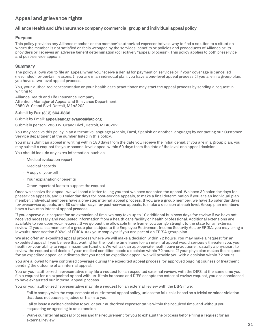### <span id="page-30-0"></span>Appeal and grievance rights

### Alliance Health and Life Insurance company commercial group and individual appeal policy

### Purpose

This policy provides any Alliance member or the member's authorized representative a way to find a solution to a situation where the member is not satisfied or feels wronged by the services, benefits or policies and procedures of Alliance or its providers or receives an adverse benefit determination (collectively "appeal process"). This policy applies to both preservice and post-service appeals.

### Summary

The policy allows you to file an appeal when you receive a denial for payment or services or if your coverage is cancelled (rescinded) for certain reasons. If you are in an individual plan, you have a one-level appeal process. If you are in a group plan, you have a two-level appeal process.

You, your authorized representative or your health care practitioner may start the appeal process by sending a request in writing to:

Alliance Health and Life Insurance Company Attention: Manager of Appeal and Grievance Department 2850 W. Grand Blvd. Detroit, MI 48202

#### Submit by Fax: (313) 664-5866

### Submit by Email: [appealsandgriev](mailto:appealsandgrievance@hap.org)ance@hap.org

Submit in person: 2850 W. Grand Blvd., Detroit, MI 48202

You may receive this policy in an alternative language (Arabic, Farsi, Spanish or another language) by contacting our Customer Service department at the number listed in this policy.

You may submit an appeal in writing within 180 days from the date you receive the initial denial. If you are in a group plan, you may submit a request for your second-level appeal within 60 days from the date of the level-one appeal decision.

You should include any extra information such as:

- Medical evaluation report
- Medical records
- A copy of your bill
- Your explanation of benefits
- $\cdot$  Other important facts to support the request

Once we receive the appeal, we will send a letter telling you that we have accepted the appeal. We have 30 calendar days for preservice appeals, and 60 calendar days for post-service appeals, to make a final determination if you are an individual plan member. Individual members have a one-step internal appeal process. If you are a group member, we have 15 calendar days for preservice appeals, and 60 calendar days for post-service appeals, to make a decision at each level. Group plan members have a two-step internal appeal process.

If you approve our request for an extension of time, we may take up to 10 additional business days for review if we have not received necessary and requested information from a health care facility or health professional. Additional extensions are available to you upon your request. If we go past the allowable time frame, you can go straight to the state for an external review. If you are a member of a group plan subject to the Employee Retirement Income Security Act, or ERISA, you may bring a lawsuit under section 502(a) of ERISA. Ask your employer if you are part of an ERISA group plan.

We also offer an expedited appeal process where we will make a decision within 72 hours. You may make a request for an expedited appeal if you believe that waiting for the routine timeframe for an internal appeal would seriously threaten you, your health or your ability to regain maximum function. We will ask an appropriate health care practitioner, usually a physician, to review the request and decide if your medical condition needs a decision within 72 hours. If your physician makes the request for an expedited appeal or indicates that you need an expedited appeal, we will provide you with a decision within 72 hours.

You are allowed to have continued coverage during the expedited appeal process for approved ongoing courses of treatment pending the outcome of an internal appeal.

You or your authorized representative may file a request for an expedited external review, with the DIFS, at the same time you file a request for an expedited appeal with us. If this happens and DIFS accepts the external review request, you are considered to have exhausted our internal appeal process.

You or your authorized representative may file a request for an external review with the DIFS if we:

- Failto comply with the requirements of our internal appeal policy, unless the failure is based on a trivial or minor violation that does not cause prejudice or harm to you
- Failto issue a written decision to you or your authorized representative within the required time, and without you requesting or agreeing to an extension
- Waive our internal appeal process and the requirement for you to exhaust the process before filing a request for an external review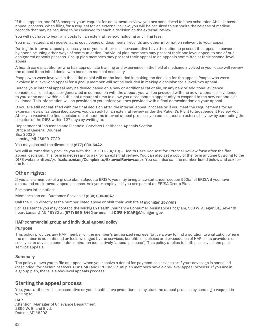If this happens, and DIFS accepts your request for an external review, you are considered to have exhausted AHL's internal appeal process. When filing for a request for an external review, you will be required to authorize the release of medical records that may be required to be reviewed to reach a decision on the external review.

You will not have to bear any costs for an external review, including any filing fees.

You may request and receive, at no cost, copies of documents, records and other information relevant to your appeal.

During the internal appeal process, you or your authorized representative have the option to present the appeal in person, by phone or using other ways of communication. Individual plan members may present their one level appeal to one of our designated appeals persons. Group plan members may present their appeal to an appeals committee at their second-level appeal.

A health care practitioner who has appropriate training and experience in the field of medicine involved in your case will review the appeal if the initial denial was based on medical necessity.

People who were involved in the initial denial will not be included in making the decision for the appeal. People who were involved in a level-one appeal for a group member will not be included in making a decision for a level-two appeal.

Before your internal appeal may be denied based on a new or additional rationale, or any new or additional evidence considered, relied upon, or generated in connection with the appeal, you will be provided with the new rationale or evidence to you, at no cost, within a sufficient amount of time to allow you a reasonable opportunity to respond to the new rationale or evidence. This information will be provided to you before you are provided with a final determination on your appeal.

If you are still not satisfied with the final decision after the internal appeal process or if you meet the requirements for an external review, as described above, you can ask for an external review under the Patient's Right to Independent Review Act. After you receive the final decision or exhaust the internal appeal process, you can request an external review by contacting the director of the DIFS within 127 days by writing to:

Department of Insurance and Financial Services Healthcare Appeals Section Office of General Counsel Box 30220 Lansing, MI 48909-7720

You may also call the director at (877) 999-6442.

We will automatically provide you with the FIS 0018  $(4/13)$  – Health Care Request for External Review form after the final appeal decision. This form is necessary to ask for an external review. You can also get a copy of the form anytime by going to the DIFS website https://difs.state.mi.us/Complaints/ExternalReview.aspx. You can also call the number listed below and ask for the form.

### Other rights:

If you are a member of a group plan subject to ERISA, you may bring a lawsuit under section 502(a) of ERISA if you have exhausted our internal appeal process. Ask your employer if you are part of an ERISA Group Plan.

For more information:

Members can call Customer Service at (888) 999-4347.

Call the DIFS directly at the number listed above or visit their website at michigan.gov/difs.

For assistance you may contact the Michigan Health Insurance Consumer Assistance Program, 530 W. Allegan St., Seventh floor, Lansing, MI 48933 at (877) 999-6442 or email at [DIFS-HICAP@Michigan.gov.](mailto:DIFS-HICAP@Michigan.gov)

### HAP commercial group and individual appeal policy

#### Purpose

This policy provides any HAP member or the member's authorized representative a way to find a solution to a situation where the member is not satisfied or feels wronged by the services, benefits or policies and procedures of HAP or its providers or receives an adverse benefit determination (collectively "appeal process"). This policy applies to both preservice and postservice appeals.

### Summary

The policy allows you to file an appeal when you receive a denial for payment or services or if your coverage is cancelled (rescinded) for certain reasons. Our HMO and PPO Individual plan members have a one-level appeal process. If you are in a group plan, there is a two-level appeals process.

### Starting the appeal process

You, your authorized representative or your health care practitioner may start the appeal process by sending a request in writing to:

#### **HAP**

Attention: Manager of Grievance Department 2850 W. Grand Blvd. Detroit, MI 48202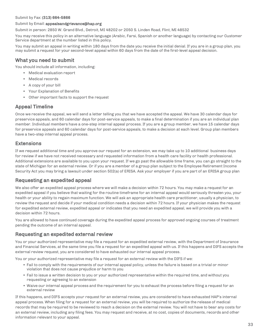#### Submit by Fax: (313) 664-5866

#### Submit by Email: [appealsandgriev](mailto:appealsandgrievance@hap.org)ance@hap.org

Submit in person: 2850 W. Grand Blvd., Detroit, MI 48202 or 2050 S. Linden Road, Flint, MI 48532

You may receive this policy in an alternative language (Arabic, Farsi, Spanish or another language) by contacting our Customer Service department at the number listed in this policy.

You may submit an appeal in writing within 180 days from the date you receive the initial denial. If you are in a group plan, you may submit a request for your second-level appeal within 60 days from the date of the first-level appeal decision.

### What you need to submit

You should include all information, including:

- Medical evaluation report
- Medical records
- A copy of your bill
- Your Explanation of Benefits
- Other important facts to support the request

### Appeal Timeline

Once we receive the appeal, we will send a letter telling you that we have accepted the appeal. We have 30 calendar days for preservice appeals, and 60 calendar days for post-service appeals, to make a final determination if you are an individual plan member. Individual members have a one-step internal appeal process. If you are a group member, we have 15 calendar days for preservice appeals and 60 calendar days for post-service appeals, to make a decision at each level. Group plan members have a two-step internal appeal process.

### Extensions

If we request additional time and you approve our request for an extension, we may take up to 10 additional business days for review if we have not received necessary and requested information from a health care facility or health professional. Additional extensions are available to you upon your request. If we go past the allowable time frame, you can go straight to the state of Michigan for an external review. Or if you are a member of a group plan subject to the Employee Retirement Income Security Act you may bring a lawsuit under section 502(a) of ERISA. Ask your employer if you are part of an ERISA group plan

### Requesting an expedited appeal

We also offer an expedited appeal process where we will make a decision within 72 hours. You may make a request for an expedited appeal if you believe that waiting for the routine timeframe for an internal appeal would seriously threaten you, your health or your ability to regain maximum function. We will ask an appropriate health care practitioner, usually a physician, to review the request and decide if your medical condition needs a decision within 72 hours. If your physician makes the request for expedited external review, expedited appeal or indicates that you need an expedited appeal, we will provide you with a decision within 72 hours.

You are allowed to have continued coverage during the expedited appeal process for approved ongoing courses of treatment pending the outcome of an internal appeal.

### Requesting an expedited external review

You or your authorized representative may file a request for an expedited external review, with the Department of Insurance and Financial Services, at the same time you file a request for an expedited appeal with us. If this happens and DIFS accepts the external review request, you are considered to have exhausted our internal appeal process.

You or your authorized representative may file a request for an external review with the DIFS if we:

- Fail to comply with the requirements of our internal appeal policy, unless the failure is based on a trivial or minor violation that does not cause prejudice or harm to you
- Fail to issue a written decision to you or your authorized representative within the required time, and without you requesting or agreeing to an extension
- Waive our internal appeal process and the requirement for you to exhaust the process before filing a request for an external review

If this happens, and DIFS accepts your request for an external review, you are considered to have exhausted HAP's internal appeal process. When filing for a request for an external review, you will be required to authorize the release of medical records that may be required to be reviewed to reach a decision on the external review. You will not have to bear any costs for an external review, including any filing fees. You may request and receive, at no cost, copies of documents, records and other information relevant to your appeal.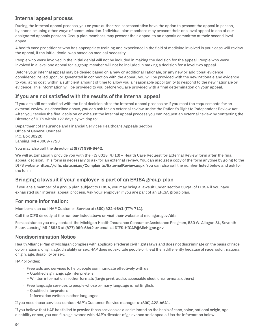### Internal appeal process

During the internal appeal process, you or your authorized representative have the option to present the appeal in person, by phone or using other ways of communication. Individual plan members may present their one level appeal to one of our designated appeals persons. Group plan members may present their appeal to an appeals committee at their second level appeal.

A health care practitioner who has appropriate training and experience in the field of medicine involved in your case will review the appeal, if the initial denial was based on medical necessity.

People who were involved in the initial denial will not be included in making the decision for the appeal. People who were involved in a level one appeal for a group member will not be included in making a decision for a level two appeal.

Before your internal appeal may be denied based on a new or additional rationale, or any new or additional evidence considered, relied upon, or generated in connection with the appeal, you will be provided with the new rationale and evidence to you, at no cost, within a sufficient amount of time to allow you a reasonable opportunity to respond to the new rationale or evidence. This information will be provided to you before you are provided with a final determination on your appeal.

### If you are not satisfied with the results of the internal appeal

If you are still not satisfied with the final decision after the internal appeal process or if you meet the requirements for an external review, as described above, you can ask for an external review under the Patient's Right to Independent Review Act. After you receive the final decision or exhaust the internal appeal process you can request an external review by contacting the Director of DIFS within 127 days by writing to:

Department of Insurance and Financial Services Healthcare Appeals Section Office of General Counsel P.O. Box 30220 Lansing, MI 48909-7720

You may also call the director at (877) 999-6442.

We will automatically provide you with the FIS 0018  $(4/13)$  – Health Care Request for External Review form after the final appeal decision. This form is necessary to ask for an external review. You can also get a copy of the form anytime by going to the DIFS website https://difs. state.mi.us/Complaints/ExternalReview.aspx. You can also call the number listed below and ask for the form.

### Bringing a lawsuit if your employer is part of an ERISA group plan

If you are a member of a group plan subject to ERISA, you may bring a lawsuit under section 502(a) of ERISA if you have exhausted our internal appeal process. Ask your employer if you are part of an ERISA group plan.

### For more information:

Members can call HAP Customer Service at (800) 422-4641 (TTY: 711).

Call the DIFS directly at the number listed above or visit their website at michigan.gov/difs.

For assistance you may contact the Michigan Health Insurance Consumer Assistance Program, 530 W. Allegan St., Seventh Floor, Lansing, MI 48933 at (877) 999-6442 or email a[t DIFS-HICAP@Michigan.gov.](mailto:DIFS-HICAP@Michigan.gov)

### <span id="page-33-0"></span>Nondiscrimination Notice

Health Alliance Plan of Michigan complies with applicable federal civil rights laws and does not discriminate on the basis of race, color, national origin, age, disability or sex. HAP does not exclude people or treat them differently because of race, color, national origin, age, disability or sex.

HAP provides:

- Free aids and services to help people communicate effectively with us:
	- Qualified sign language interpreters
	- Written information in other formats (large print, audio, accessible electronic formats, others)
- Free language services to people whose primary language is not English:
	- Qualified interpreters
	- Information written in other languages

If you need these services, contact HAP's Customer Service manager at(800) 422-4641.

If you believe that HAP has failed to provide these services or discriminated on the basis of race, color, national origin, age, disability or sex, you can file a grievance with HAP's director of grievance and appeals. Use the information below: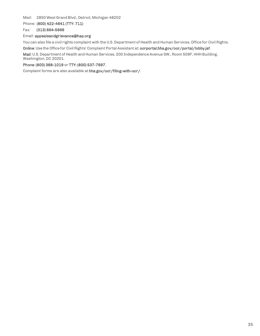Mail: 2850 West Grand Blvd., Detroit, Michigan 48202

Phone: (800) 422-4641 (TTY: 711)

Fax: (313) 664-5866

### Email: [appealsandgriev](mailto:appealsandgrievance@hap.org)[ance@hap.org](mailto:ance@hap.org)

You can also file a civil rights complaint with the U.S. Department of Health and Human Services, Office for Civil Rights.

Online: Use the Office for Civil Rights' Complaint Portal Assistant at: ocrportal.hhs.gov/ocr/portal/lobby.jsf.

Mail: U.S. Department of Health and Human Services, 200 Independence Avenue SW., Room 509F, HHH Building, Washington, DC 20201.

#### Phone: (800) 368-1019 or TTY: (800) 537-7697.

Complaint forms are also available at hhs.gov/ocr/filing-with-ocr/.